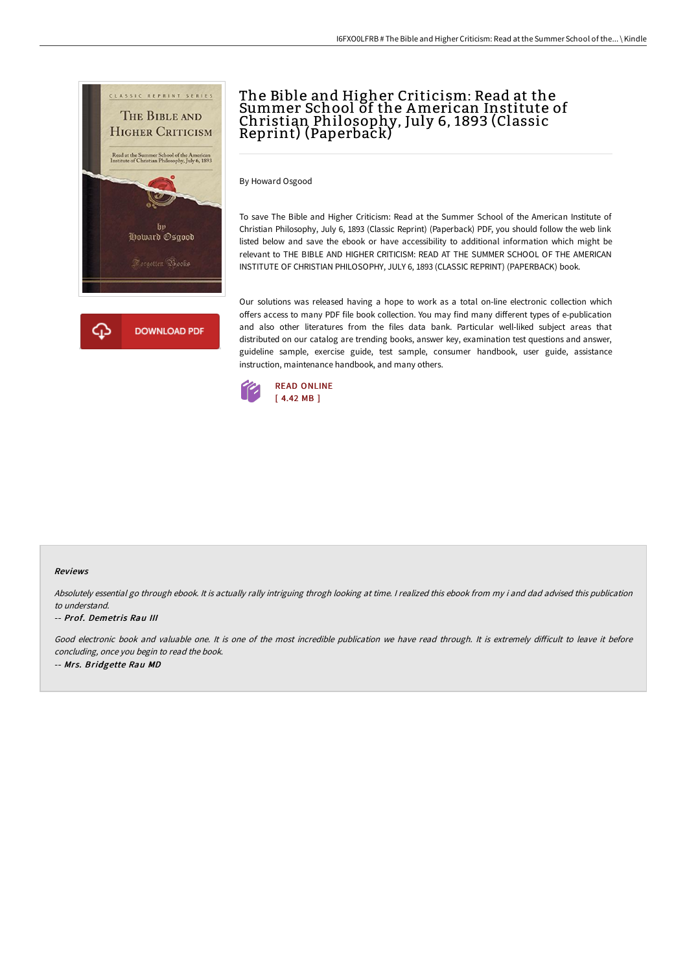

# The Bible and Higher Criticism: Read at the Summer School of the American Institute of Christian Philosophy, July 6, 1893 (Classic Reprint) (Paperback)

By Howard Osgood

To save The Bible and Higher Criticism: Read at the Summer School of the American Institute of Christian Philosophy, July 6, 1893 (Classic Reprint) (Paperback) PDF, you should follow the web link listed below and save the ebook or have accessibility to additional information which might be relevant to THE BIBLE AND HIGHER CRITICISM: READ AT THE SUMMER SCHOOL OF THE AMERICAN INSTITUTE OF CHRISTIAN PHILOSOPHY, JULY 6, 1893 (CLASSIC REPRINT) (PAPERBACK) book.

Our solutions was released having a hope to work as a total on-line electronic collection which offers access to many PDF file book collection. You may find many different types of e-publication and also other literatures from the files data bank. Particular well-liked subject areas that distributed on our catalog are trending books, answer key, examination test questions and answer, guideline sample, exercise guide, test sample, consumer handbook, user guide, assistance instruction, maintenance handbook, and many others.



#### Reviews

Absolutely essential go through ebook. It is actually rally intriguing throgh looking at time. I realized this ebook from my i and dad advised this publication to understand.

#### -- Prof. Demetris Rau III

Good electronic book and valuable one. It is one of the most incredible publication we have read through. It is extremely difficult to leave it before concluding, once you begin to read the book. -- Mrs. Bridgette Rau MD